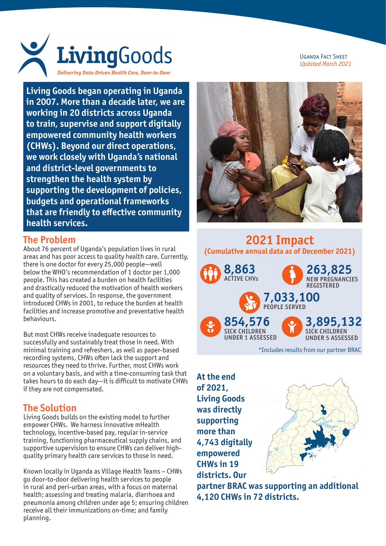

**Living Goods began operating in Uganda in 2007. More than a decade later, we are working in 20 districts across Uganda to train, supervise and support digitally empowered community health workers (CHWs). Beyond our direct operations, we work closely with Uganda's national and district-level governments to strengthen the health system by supporting the development of policies, budgets and operational frameworks that are friendly to effective community health services.**

#### **The Problem**

About 76 percent of Uganda's population lives in rural areas and has poor access to quality health care. Currently, there is one doctor for every 25,000 people—well below the WHO's recommendation of 1 doctor per 1,000 people. This has created a burden on health facilities and drastically reduced the motivation of health workers and quality of services. In response, the government introduced CHWs in 2001, to reduce the burden at health facilities and increase promotive and preventative health behaviours.

But most CHWs receive inadequate resources to successfully and sustainably treat those in need. With minimal training and refreshers, as well as paper-based recording systems, CHWs often lack the support and resources they need to thrive. Further, most CHWs work on a voluntary basis, and with a time-consuming task that takes hours to do each day—it is difficult to motivate CHWs if they are not compensated.

## **The Solution**

Living Goods builds on the existing model to further empower CHWs. We harness innovative mHealth technology, incentive-based pay, regular in-service training, functioning pharmaceutical supply chains, and supportive supervision to ensure CHWs can deliver highquality primary health care services to those in need.

Known locally in Uganda as Village Health Teams – CHWs go door-to-door delivering health services to people in rural and peri-urban areas, with a focus on maternal health; assessing and treating malaria, diarrhoea and pneumonia among children under age 5; ensuring children receive all their immunizations on-time; and family planning.





# **2021 Impact (Cumulative annual data as of December 2021) 263,825 8,863**



**At the end of 2021, Living Goods was directly supporting more than 4,743 digitally empowered CHWs in 19 districts. Our** 



**partner BRAC was supporting an additional 4,120 CHWs in 72 districts.**